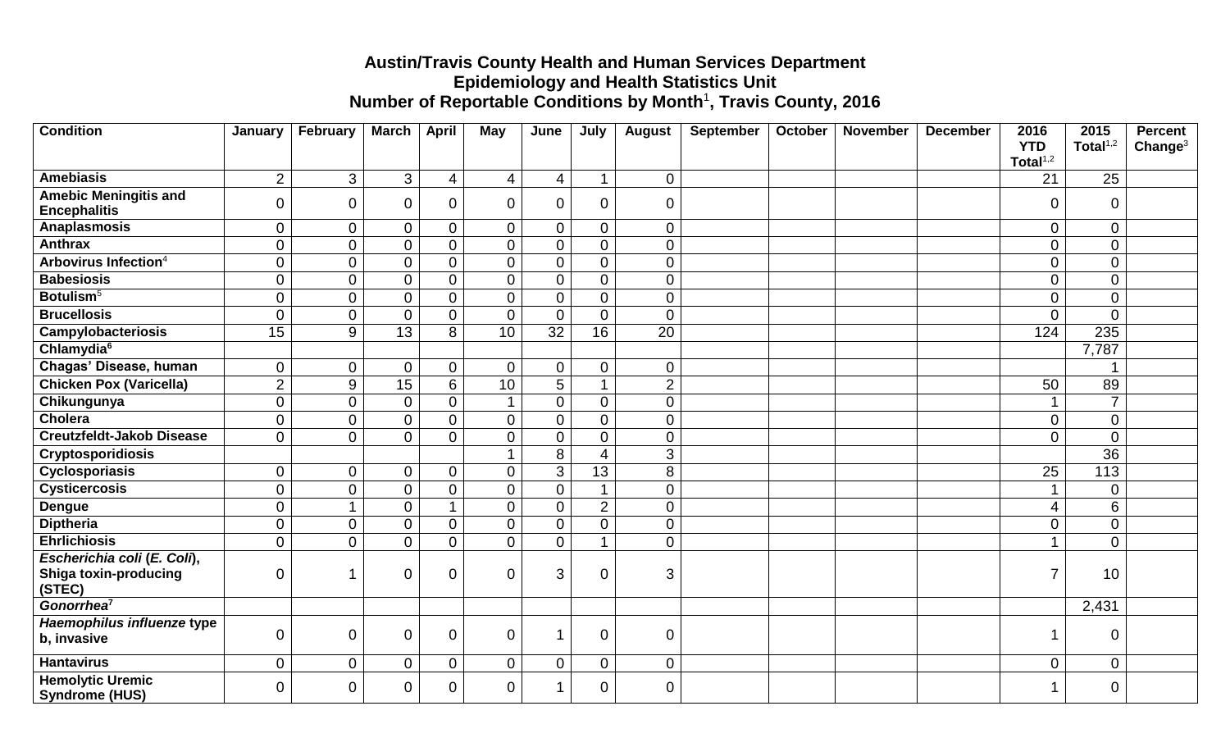## **Austin/Travis County Health and Human Services Department Epidemiology and Health Statistics Unit** Number of Reportable Conditions by Month<sup>1</sup>, Travis County, 2016

| <b>Condition</b>                                    | January        | February         | <b>March</b>     | <b>April</b>   | May                  | June            | July                 | <b>August</b>  | <b>September</b> | October | <b>November</b> | <b>December</b> | 2016                      | 2015            | <b>Percent</b>      |
|-----------------------------------------------------|----------------|------------------|------------------|----------------|----------------------|-----------------|----------------------|----------------|------------------|---------|-----------------|-----------------|---------------------------|-----------------|---------------------|
|                                                     |                |                  |                  |                |                      |                 |                      |                |                  |         |                 |                 | <b>YTD</b><br>Total $1,2$ | Total $1,2$     | Change <sup>3</sup> |
| <b>Amebiasis</b>                                    | $\overline{2}$ | $\mathfrak{S}$   | 3                | 4              | $\overline{4}$       | 4               | $\blacktriangleleft$ | $\mathbf 0$    |                  |         |                 |                 | 21                        | 25              |                     |
| <b>Amebic Meningitis and</b><br><b>Encephalitis</b> | $\mathbf 0$    | $\boldsymbol{0}$ | $\boldsymbol{0}$ | $\overline{0}$ | $\overline{0}$       | 0               | $\mathbf 0$          | $\mathbf 0$    |                  |         |                 |                 | $\mathbf 0$               | $\overline{0}$  |                     |
| <b>Anaplasmosis</b>                                 | $\overline{0}$ | $\mathbf 0$      | $\overline{0}$   | $\mathbf 0$    | $\mathbf 0$          | $\overline{0}$  | $\overline{0}$       | $\overline{0}$ |                  |         |                 |                 | 0                         | $\overline{0}$  |                     |
| <b>Anthrax</b>                                      | $\overline{0}$ | $\mathbf 0$      | $\overline{0}$   | $\overline{0}$ | $\overline{0}$       | $\overline{0}$  | $\mathbf 0$          | $\overline{0}$ |                  |         |                 |                 | $\mathbf 0$               | $\overline{0}$  |                     |
| Arbovirus Infection <sup>4</sup>                    | $\overline{0}$ | $\pmb{0}$        | $\overline{0}$   | $\overline{0}$ | $\mathbf 0$          | $\overline{0}$  | $\mathbf 0$          | $\overline{0}$ |                  |         |                 |                 | $\boldsymbol{0}$          | $\overline{0}$  |                     |
| <b>Babesiosis</b>                                   | $\overline{0}$ | $\mathbf 0$      | $\mathbf 0$      | $\overline{0}$ | $\overline{0}$       | 0               | $\mathbf 0$          | $\overline{0}$ |                  |         |                 |                 | $\boldsymbol{0}$          | $\overline{0}$  |                     |
| Botulism <sup>5</sup>                               | $\overline{0}$ | $\boldsymbol{0}$ | $\overline{0}$   | $\overline{0}$ | $\overline{0}$       | $\overline{0}$  | $\overline{0}$       | $\overline{0}$ |                  |         |                 |                 | $\mathbf 0$               | $\mathbf 0$     |                     |
| <b>Brucellosis</b>                                  | $\Omega$       | $\mathbf 0$      | $\overline{0}$   | $\overline{0}$ | $\overline{0}$       | $\overline{0}$  | $\mathbf 0$          | $\overline{0}$ |                  |         |                 |                 | $\Omega$                  | $\overline{0}$  |                     |
| Campylobacteriosis                                  | 15             | $\boldsymbol{9}$ | 13               | 8              | 10                   | $\overline{32}$ | 16                   | 20             |                  |         |                 |                 | 124                       | 235             |                     |
| Chlamydia <sup>6</sup>                              |                |                  |                  |                |                      |                 |                      |                |                  |         |                 |                 |                           | 7,787           |                     |
| Chagas' Disease, human                              | $\mathbf 0$    | $\mathbf 0$      | 0                | $\Omega$       | $\overline{0}$       | 0               | $\overline{0}$       | $\overline{0}$ |                  |         |                 |                 |                           |                 |                     |
| <b>Chicken Pox (Varicella)</b>                      | $\overline{2}$ | $\overline{9}$   | $\overline{15}$  | 6              | 10                   | 5               | $\blacktriangleleft$ | $\overline{2}$ |                  |         |                 |                 | 50                        | 89              |                     |
| Chikungunya                                         | $\overline{0}$ | $\mathbf 0$      | $\mathbf 0$      | $\overline{0}$ | $\mathbf 1$          | $\overline{0}$  | $\mathbf 0$          | $\overline{0}$ |                  |         |                 |                 |                           | $\overline{7}$  |                     |
| <b>Cholera</b>                                      | $\overline{0}$ | $\boldsymbol{0}$ | $\mathbf 0$      | 0              | $\overline{0}$       | $\overline{0}$  | $\overline{0}$       | $\overline{0}$ |                  |         |                 |                 | $\mathbf 0$               | $\overline{0}$  |                     |
| <b>Creutzfeldt-Jakob Disease</b>                    | $\overline{0}$ | $\mathbf 0$      | $\overline{0}$   | $\Omega$       | $\overline{0}$       | $\overline{0}$  | $\mathbf 0$          | $\overline{0}$ |                  |         |                 |                 | $\mathbf 0$               | $\overline{0}$  |                     |
| <b>Cryptosporidiosis</b>                            |                |                  |                  |                | $\blacktriangleleft$ | 8               | $\overline{4}$       | $\overline{3}$ |                  |         |                 |                 |                           | $\overline{36}$ |                     |
| Cyclosporiasis                                      | $\overline{0}$ | $\mathbf 0$      | $\overline{0}$   | $\mathbf 0$    | $\overline{0}$       | 3               | 13                   | 8              |                  |         |                 |                 | 25                        | 113             |                     |
| <b>Cysticercosis</b>                                | $\overline{0}$ | $\boldsymbol{0}$ | $\mathbf 0$      | 0              | $\overline{0}$       | 0               |                      | $\overline{0}$ |                  |         |                 |                 |                           | $\overline{0}$  |                     |
| <b>Dengue</b>                                       | $\overline{0}$ | $\overline{1}$   | $\mathbf 0$      |                | $\overline{0}$       | $\overline{0}$  | $\overline{2}$       | $\overline{0}$ |                  |         |                 |                 | $\overline{4}$            | $6\phantom{1}$  |                     |
| <b>Diptheria</b>                                    | $\overline{0}$ | $\mathbf 0$      | $\overline{0}$   | $\Omega$       | $\overline{0}$       | $\overline{0}$  | $\mathbf 0$          | $\overline{0}$ |                  |         |                 |                 | $\mathbf 0$               | $\mathbf 0$     |                     |
| <b>Ehrlichiosis</b>                                 | $\overline{0}$ | $\mathbf 0$      | $\overline{0}$   | $\overline{0}$ | $\overline{0}$       | $\overline{0}$  | $\blacktriangleleft$ | $\overline{0}$ |                  |         |                 |                 | 1                         | $\mathbf 0$     |                     |
| Escherichia coli (E. Coli),                         |                |                  |                  |                |                      |                 |                      |                |                  |         |                 |                 |                           |                 |                     |
| <b>Shiga toxin-producing</b><br>(STEC)              | $\overline{0}$ | 1                | 0                | $\overline{0}$ | $\mathbf 0$          | 3               | $\mathbf 0$          | 3              |                  |         |                 |                 | $\overline{7}$            | 10              |                     |
| Gonorrhea <sup>7</sup>                              |                |                  |                  |                |                      |                 |                      |                |                  |         |                 |                 |                           | 2,431           |                     |
| Haemophilus influenze type<br>b, invasive           | $\overline{0}$ | $\boldsymbol{0}$ | $\overline{0}$   | $\mathbf 0$    | $\overline{0}$       | 1               | $\overline{0}$       | $\mathbf 0$    |                  |         |                 |                 | 1                         | $\overline{0}$  |                     |
| <b>Hantavirus</b>                                   | $\overline{0}$ | $\mathbf 0$      | 0                | $\Omega$       | $\overline{0}$       | 0               | $\mathbf 0$          | $\overline{0}$ |                  |         |                 |                 | $\mathbf 0$               | $\mathbf 0$     |                     |
| <b>Hemolytic Uremic</b><br><b>Syndrome (HUS)</b>    | $\overline{0}$ | $\mathbf 0$      | 0                | 0              | $\mathbf 0$          |                 | $\overline{0}$       | $\overline{0}$ |                  |         |                 |                 |                           | $\mathbf 0$     |                     |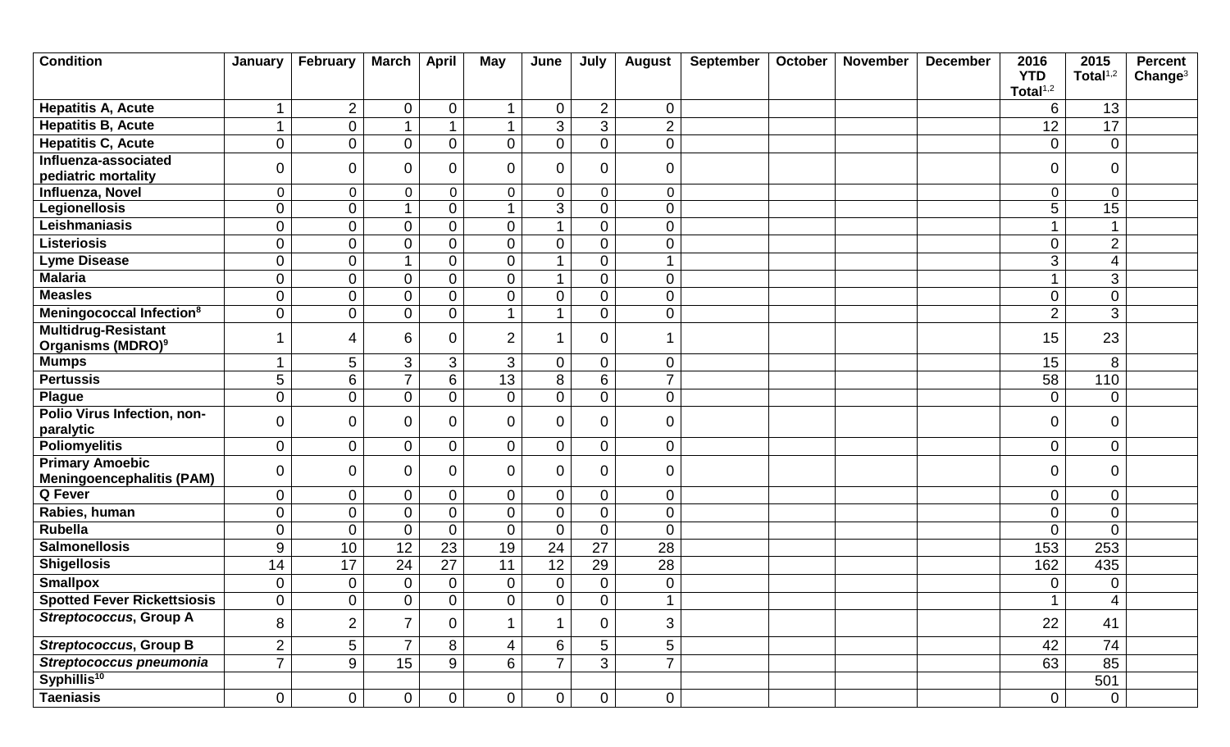| <b>Condition</b>                                            | January        | February         | <b>March</b>     | <b>April</b>   | <b>May</b>           | June           | July           | <b>August</b>  | September | October | November | <b>December</b> | 2016<br><b>YTD</b> | 2015<br>Total $1,2$ | <b>Percent</b><br>Change <sup>3</sup> |
|-------------------------------------------------------------|----------------|------------------|------------------|----------------|----------------------|----------------|----------------|----------------|-----------|---------|----------|-----------------|--------------------|---------------------|---------------------------------------|
|                                                             |                |                  |                  |                |                      |                |                |                |           |         |          |                 | Total $1,2$        |                     |                                       |
| <b>Hepatitis A, Acute</b>                                   |                | $\overline{2}$   | $\boldsymbol{0}$ | $\mathbf 0$    | $\blacktriangleleft$ | 0              | $\overline{2}$ | $\overline{0}$ |           |         |          |                 | 6                  | 13                  |                                       |
| <b>Hepatitis B, Acute</b>                                   |                | $\boldsymbol{0}$ | 1                |                | $\blacktriangleleft$ | 3              | 3              | $\overline{2}$ |           |         |          |                 | 12                 | $\overline{17}$     |                                       |
| <b>Hepatitis C, Acute</b>                                   | $\overline{0}$ | $\boldsymbol{0}$ | $\boldsymbol{0}$ | $\mathbf 0$    | $\mathbf 0$          | 0              | $\mathbf 0$    | $\overline{0}$ |           |         |          |                 | 0                  | $\overline{0}$      |                                       |
| Influenza-associated<br>pediatric mortality                 | $\overline{0}$ | $\boldsymbol{0}$ | $\boldsymbol{0}$ | $\Omega$       | $\mathbf 0$          | $\overline{0}$ | $\mathbf 0$    | $\mathbf 0$    |           |         |          |                 | 0                  | $\overline{0}$      |                                       |
| Influenza, Novel                                            | $\overline{0}$ | $\mathbf 0$      | $\pmb{0}$        | $\overline{0}$ | $\mathbf 0$          | $\mathbf 0$    | $\mathbf 0$    | $\mathbf 0$    |           |         |          |                 | $\mathbf 0$        | $\mathbf 0$         |                                       |
| Legionellosis                                               | $\overline{0}$ | $\boldsymbol{0}$ | 1                | 0              | $\overline{1}$       | 3              | $\mathbf 0$    | $\overline{0}$ |           |         |          |                 | 5                  | 15                  |                                       |
| Leishmaniasis                                               | $\overline{0}$ | $\pmb{0}$        | $\boldsymbol{0}$ | 0              | $\overline{0}$       |                | $\mathbf 0$    | $\overline{0}$ |           |         |          |                 |                    |                     |                                       |
| <b>Listeriosis</b>                                          | $\mathbf 0$    | $\mathbf 0$      | $\boldsymbol{0}$ | $\overline{0}$ | $\mathbf 0$          | $\overline{0}$ | $\mathbf 0$    | $\mathbf 0$    |           |         |          |                 | $\mathbf 0$        | $\overline{2}$      |                                       |
| <b>Lyme Disease</b>                                         | $\overline{0}$ | $\mathbf 0$      | $\mathbf{1}$     | 0              | $\overline{0}$       | 1              | $\mathbf 0$    | $\overline{ }$ |           |         |          |                 | 3                  | $\overline{4}$      |                                       |
| <b>Malaria</b>                                              | $\overline{0}$ | $\boldsymbol{0}$ | $\mathsf 0$      | $\overline{0}$ | $\overline{0}$       |                | $\overline{0}$ | $\overline{0}$ |           |         |          |                 |                    | 3                   |                                       |
| <b>Measles</b>                                              | $\overline{0}$ | $\pmb{0}$        | $\overline{0}$   | 0              | $\overline{0}$       | 0              | $\mathbf 0$    | $\overline{0}$ |           |         |          |                 | $\mathbf 0$        | $\mathbf 0$         |                                       |
| Meningococcal Infection <sup>8</sup>                        | $\overline{0}$ | $\mathbf 0$      | $\overline{0}$   | 0              | $\blacktriangleleft$ |                | $\mathbf 0$    | $\overline{0}$ |           |         |          |                 | $\overline{2}$     | 3                   |                                       |
| <b>Multidrug-Resistant</b><br>Organisms (MDRO) <sup>9</sup> |                | 4                | 6                | 0              | $\overline{2}$       |                | 0              |                |           |         |          |                 | 15                 | 23                  |                                       |
| <b>Mumps</b>                                                |                | 5                | 3                | 3              | 3                    | 0              | $\mathbf 0$    | $\overline{0}$ |           |         |          |                 | 15                 | 8                   |                                       |
| <b>Pertussis</b>                                            | 5              | 6                | $\overline{7}$   | 6              | 13                   | 8              | 6              | $\overline{7}$ |           |         |          |                 | 58                 | 110                 |                                       |
| <b>Plague</b>                                               | $\overline{0}$ | $\boldsymbol{0}$ | $\boldsymbol{0}$ | 0              | $\mathbf 0$          | 0              | $\mathbf 0$    | $\overline{0}$ |           |         |          |                 | 0                  | 0                   |                                       |
| Polio Virus Infection, non-<br>paralytic                    | $\overline{0}$ | $\mathbf 0$      | 0                | 0              | $\overline{0}$       | 0              | $\mathbf 0$    | 0              |           |         |          |                 | 0                  | 0                   |                                       |
| <b>Poliomyelitis</b>                                        | $\overline{0}$ | $\boldsymbol{0}$ | $\boldsymbol{0}$ | $\mathbf 0$    | $\overline{0}$       | 0              | $\mathbf 0$    | $\overline{0}$ |           |         |          |                 | $\mathbf 0$        | $\boldsymbol{0}$    |                                       |
| <b>Primary Amoebic</b><br><b>Meningoencephalitis (PAM)</b>  | $\mathbf 0$    | $\mathbf 0$      | 0                | 0              | $\mathbf 0$          | 0              | $\overline{0}$ | 0              |           |         |          |                 | 0                  | $\mathbf 0$         |                                       |
| Q Fever                                                     | $\overline{0}$ | $\mathbf 0$      | $\boldsymbol{0}$ | $\mathbf 0$    | $\overline{0}$       | 0              | $\mathbf 0$    | $\overline{0}$ |           |         |          |                 | $\mathbf 0$        | $\overline{0}$      |                                       |
| Rabies, human                                               | $\overline{0}$ | $\boldsymbol{0}$ | $\mathbf 0$      | 0              | $\overline{0}$       | 0              | $\mathbf 0$    | $\overline{0}$ |           |         |          |                 | $\mathbf 0$        | $\overline{0}$      |                                       |
| <b>Rubella</b>                                              | $\overline{0}$ | $\mathbf 0$      | $\mathbf 0$      | $\overline{0}$ | $\overline{0}$       | 0              | $\mathbf 0$    | $\overline{0}$ |           |         |          |                 | $\mathbf 0$        | $\overline{0}$      |                                       |
| <b>Salmonellosis</b>                                        | 9              | 10               | 12               | 23             | 19                   | 24             | 27             | 28             |           |         |          |                 | 153                | 253                 |                                       |
| <b>Shigellosis</b>                                          | 14             | 17               | 24               | 27             | 11                   | 12             | 29             | 28             |           |         |          |                 | 162                | 435                 |                                       |
| <b>Smallpox</b>                                             | $\mathbf 0$    | $\boldsymbol{0}$ | $\pmb{0}$        | $\mathbf 0$    | $\mathbf 0$          | 0              | $\mathbf 0$    | $\mathbf 0$    |           |         |          |                 | 0                  | $\overline{0}$      |                                       |
| <b>Spotted Fever Rickettsiosis</b>                          | $\overline{0}$ | $\overline{0}$   | $\overline{0}$   | $\overline{0}$ | $\overline{0}$       | $\overline{0}$ | $\overline{0}$ | $\overline{A}$ |           |         |          |                 | $\overline{A}$     | $\overline{4}$      |                                       |
| <b>Streptococcus, Group A</b>                               | 8              | $\overline{2}$   | $\overline{7}$   | 0              |                      |                | $\Omega$       | 3              |           |         |          |                 | 22                 | 41                  |                                       |
| <b>Streptococcus, Group B</b>                               | $\overline{2}$ | 5                | $\overline{7}$   | 8              | $\overline{4}$       | 6              | 5              | 5              |           |         |          |                 | 42                 | 74                  |                                       |
| Streptococcus pneumonia                                     | $\overline{7}$ | $\overline{9}$   | 15               | 9              | 6                    |                | 3              | $\overline{7}$ |           |         |          |                 | 63                 | 85                  |                                       |
| Syphillis <sup>10</sup>                                     |                |                  |                  |                |                      |                |                |                |           |         |          |                 |                    | 501                 |                                       |
| <b>Taeniasis</b>                                            | $\overline{0}$ | $\overline{0}$   | $\overline{0}$   | $\overline{0}$ | $\overline{0}$       | $\overline{0}$ | $\overline{0}$ | $\overline{0}$ |           |         |          |                 | $\overline{0}$     | $\overline{0}$      |                                       |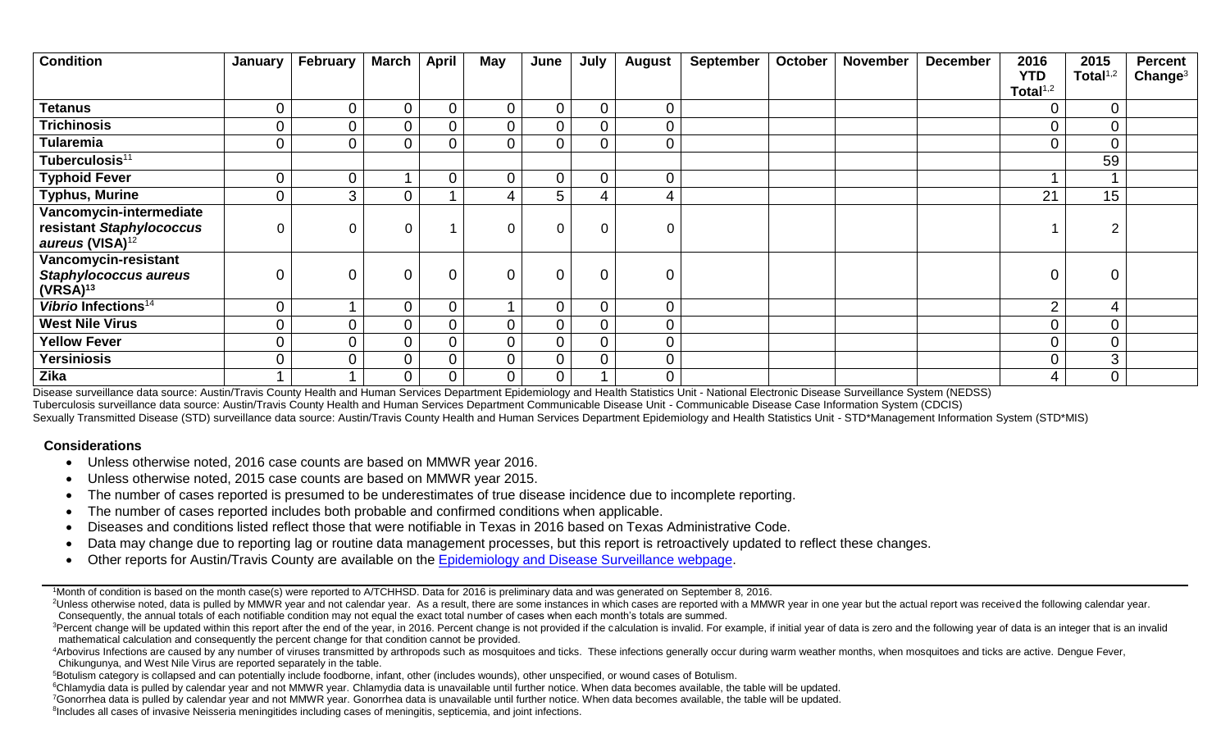| <b>Condition</b>                                                                                     | January        | February       | <b>March</b>   | <b>April</b> | <b>May</b>     | June           | July           | August         | <b>September</b> | <b>October</b> | <b>November</b> | <b>December</b> | 2016<br><b>YTD</b> | 2015<br>Total $1,2$ | <b>Percent</b><br>Change <sup>3</sup> |
|------------------------------------------------------------------------------------------------------|----------------|----------------|----------------|--------------|----------------|----------------|----------------|----------------|------------------|----------------|-----------------|-----------------|--------------------|---------------------|---------------------------------------|
|                                                                                                      |                |                |                |              |                |                |                |                |                  |                |                 |                 | Total $1,2$        |                     |                                       |
| <b>Tetanus</b>                                                                                       | 0              | 0              | $\mathbf 0$    | $\Omega$     | $\mathbf 0$    | $\overline{0}$ | $\overline{0}$ | $\overline{0}$ |                  |                |                 |                 | $\overline{0}$     | $\mathbf 0$         |                                       |
| <b>Trichinosis</b>                                                                                   | $\overline{0}$ | $\overline{0}$ | $\overline{0}$ |              | $\mathbf 0$    | $\overline{0}$ | $\overline{0}$ | $\mathbf 0$    |                  |                |                 |                 | $\Omega$           | $\mathbf 0$         |                                       |
| <b>Tularemia</b>                                                                                     | $\overline{0}$ | 0              | $\overline{0}$ |              | $\mathbf 0$    | $\overline{0}$ | $\overline{0}$ | $\mathbf 0$    |                  |                |                 |                 | $\overline{0}$     | $\overline{0}$      |                                       |
| Tuberculosis <sup>11</sup>                                                                           |                |                |                |              |                |                |                |                |                  |                |                 |                 |                    | 59                  |                                       |
| <b>Typhoid Fever</b>                                                                                 | 0              | 0              |                |              | $\mathbf 0$    | $\overline{0}$ | $\overline{0}$ | $\overline{0}$ |                  |                |                 |                 |                    |                     |                                       |
| <b>Typhus, Murine</b>                                                                                | $\overline{0}$ | 3              | $\overline{0}$ |              | 4              | 5              |                |                |                  |                |                 |                 | 21                 | 15 <sub>1</sub>     |                                       |
| Vancomycin-intermediate<br>resistant Staphylococcus                                                  | 0              | 0              | 0              |              | $\overline{0}$ | $\Omega$       | $\mathbf 0$    | 0              |                  |                |                 |                 |                    |                     |                                       |
| aureus (VISA) <sup>12</sup><br>Vancomycin-resistant<br><b>Staphylococcus aureus</b><br>$(VRSA)^{13}$ | 0              | 0              | $\overline{0}$ | $\Omega$     | $\overline{0}$ | $\Omega$       | $\overline{0}$ | $\Omega$       |                  |                |                 |                 | $\overline{0}$     | 0                   |                                       |
| Vibrio Infections <sup>14</sup>                                                                      | $\overline{0}$ | и              | $\mathbf 0$    |              |                | $\overline{0}$ | $\mathbf 0$    | 0              |                  |                |                 |                 | C                  | 4                   |                                       |
| <b>West Nile Virus</b>                                                                               | 0              | 0              | $\overline{0}$ |              | $\overline{0}$ | $\overline{0}$ | $\Omega$       | $\overline{0}$ |                  |                |                 |                 |                    | $\mathbf 0$         |                                       |
| <b>Yellow Fever</b>                                                                                  | $\overline{0}$ | 0              | $\overline{0}$ |              | $\mathbf 0$    | $\overline{0}$ | $\overline{0}$ | $\overline{0}$ |                  |                |                 |                 | $\Omega$           | $\mathbf 0$         |                                       |
| <b>Yersiniosis</b>                                                                                   | $\overline{0}$ | 0              | $\mathbf 0$    |              | $\mathbf 0$    | $\overline{0}$ | $\Omega$       | $\overline{0}$ |                  |                |                 |                 | $\Omega$           | 3                   |                                       |
| Zika                                                                                                 |                |                | $\overline{0}$ |              | 0              | $\overline{0}$ |                | $\mathbf 0$    |                  |                |                 |                 | 4                  | $\mathbf 0$         |                                       |

Disease surveillance data source: Austin/Travis County Health and Human Services Department Epidemiology and Health Statistics Unit - National Electronic Disease Surveillance System (NEDSS) Tuberculosis surveillance data source: Austin/Travis County Health and Human Services Department Communicable Disease Unit - Communicable Disease Case Information System (CDCIS) Sexually Transmitted Disease (STD) surveillance data source: Austin/Travis County Health and Human Services Department Epidemiology and Health Statistics Unit - STD\*Management Information System (STD\*MIS)

## **Considerations**

- Unless otherwise noted, 2016 case counts are based on MMWR year 2016.
- Unless otherwise noted, 2015 case counts are based on MMWR year 2015.
- The number of cases reported is presumed to be underestimates of true disease incidence due to incomplete reporting.
- The number of cases reported includes both probable and confirmed conditions when applicable.
- Diseases and conditions listed reflect those that were notifiable in Texas in 2016 based on Texas Administrative Code.
- Data may change due to reporting lag or routine data management processes, but this report is retroactively updated to reflect these changes.
- Other reports for Austin/Travis County are available on the [Epidemiology and Disease Surveillance webpage.](http://www.austintexas.gov/department/epidemiology-and-disease-surveillance)

<sup>1</sup>Month of condition is based on the month case(s) were reported to A/TCHHSD. Data for 2016 is preliminary data and was generated on September 8, 2016.

<sup>2</sup>Unless otherwise noted, data is pulled by MMWR year and not calendar year. As a result, there are some instances in which cases are reported with a MMWR year in one year but the actual report was received the following Consequently, the annual totals of each notifiable condition may not equal the exact total number of cases when each month's totals are summed.

<sup>3</sup>Percent change will be updated within this report after the end of the year, in 2016. Percent change is not provided if the calculation is invalid. For example, if initial year of data is zero and the following year of mathematical calculation and consequently the percent change for that condition cannot be provided.

4Arbovirus Infections are caused by any number of viruses transmitted by arthropods such as mosquitoes and ticks. These infections generally occur during warm weather months, when mosquitoes and ticks are active. Denque Fe Chikungunya, and West Nile Virus are reported separately in the table.

<sup>5</sup>Botulism category is collapsed and can potentially include foodborne, infant, other (includes wounds), other unspecified, or wound cases of Botulism.

<sup>6</sup>Chlamydia data is pulled by calendar year and not MMWR year. Chlamydia data is unavailable until further notice. When data becomes available, the table will be updated.

<sup>7</sup>Gonorrhea data is pulled by calendar year and not MMWR year. Gonorrhea data is unavailable until further notice. When data becomes available, the table will be updated.

<sup>8</sup>Includes all cases of invasive Neisseria meningitides including cases of meningitis, septicemia, and joint infections.